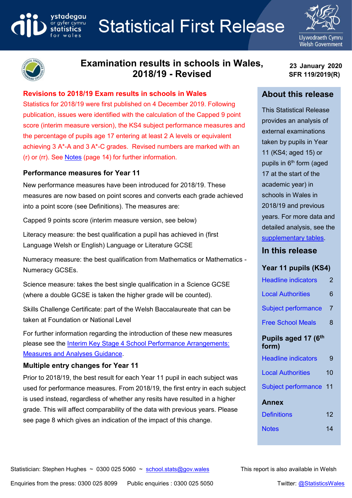# **Statistical First Release**





# **Examination results in schools in Wales, 2018/19 - Revised**

#### **Revisions to 2018/19 Exam results in schools in Wales**

Statistics for 2018/19 were first published on 4 December 2019. Following publication, issues were identified with the calculation of the Capped 9 point score (interim measure version), the KS4 subject performance measures and the percentage of pupils age 17 entering at least 2 A levels or equivalent achieving 3 A\*-A and 3 A\*-C grades. Revised numbers are marked with an (r) or (rr). See [Notes](#page-13-0) (page 14) for further information.

#### **Performance measures for Year 11**

ystadegau

ar gyfer cymru

New performance measures have been introduced for 2018/19. These measures are now based on point scores and converts each grade achieved into a point score (see Definitions). The measures are:

Capped 9 points score (interim measure version, see below)

Literacy measure: the best qualification a pupil has achieved in (first Language Welsh or English) Language or Literature GCSE

Numeracy measure: the best qualification from Mathematics or Mathematics - Numeracy GCSEs.

Science measure: takes the best single qualification in a Science GCSE (where a double GCSE is taken the higher grade will be counted).

Skills Challenge Certificate: part of the Welsh Baccalaureate that can be taken at Foundation or National Level

For further information regarding the introduction of these new measures please see the [Interim Key Stage 4 School Performance Arrangements:](https://gov.wales/interim-key-stage-4-school-performance-arrangements)  [Measures and Analyses Guidance.](https://gov.wales/interim-key-stage-4-school-performance-arrangements)

#### **Multiple entry changes for Year 11**

Prior to 2018/19, the best result for each Year 11 pupil in each subject was used for performance measures. From 2018/19, the first entry in each subject is used instead, regardless of whether any resits have resulted in a higher grade. This will affect comparability of the data with previous years. Please see page 8 which gives an indication of the impact of this change.

**23 January 2020 SFR 119/2019(R)**

#### **About this release**

This Statistical Release provides an analysis of external examinations taken by pupils in Year 11 (KS4; aged 15) or pupils in  $6<sup>th</sup>$  form (aged 17 at the start of the academic year) in schools in Wales in 2018/19 and previous years. For more data and detailed analysis, see the [supplementary tables.](https://gov.wales/examination-results-september-2018-august-2019)

#### **In this release**

#### **Year 11 pupils (KS4)**

| Headline indicators          | 2  |
|------------------------------|----|
| <b>Local Authorities</b>     | 6  |
| <b>Subject performance</b>   | 7  |
| <b>Free School Meals</b>     | 8  |
| Pupils aged 17 (6th<br>form) |    |
| <b>Headline indicators</b>   | 9  |
| <b>Local Authorities</b>     | 10 |
| Subject performance          | 11 |
| Annex                        |    |
| Definitions                  | 12 |
| Notes                        | 14 |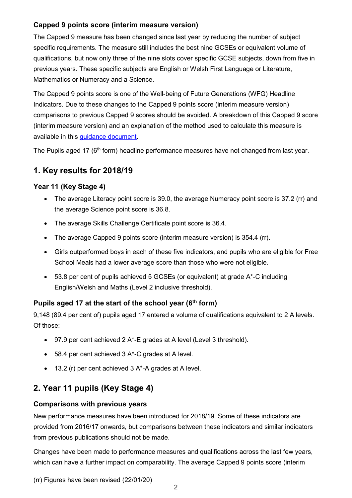#### **Capped 9 points score (interim measure version)**

The Capped 9 measure has been changed since last year by reducing the number of subject specific requirements. The measure still includes the best nine GCSEs or equivalent volume of qualifications, but now only three of the nine slots cover specific GCSE subjects, down from five in previous years. These specific subjects are English or Welsh First Language or Literature, Mathematics or Numeracy and a Science.

The Capped 9 points score is one of the Well-being of Future Generations (WFG) Headline Indicators. Due to these changes to the Capped 9 points score (interim measure version) comparisons to previous Capped 9 scores should be avoided. A breakdown of this Capped 9 score (interim measure version) and an explanation of the method used to calculate this measure is available in this [guidance document.](https://gov.wales/capped-9-points-score-interim)

The Pupils aged 17 (6<sup>th</sup> form) headline performance measures have not changed from last year.

# **1. Key results for 2018/19**

## <span id="page-1-0"></span>**Year 11 (Key Stage 4)**

- The average Literacy point score is 39.0, the average Numeracy point score is 37.2 (rr) and the average Science point score is 36.8.
- The average Skills Challenge Certificate point score is 36.4.
- The average Capped 9 points score (interim measure version) is 354.4 (rr).
- Girls outperformed boys in each of these five indicators, and pupils who are eligible for Free School Meals had a lower average score than those who were not eligible.
- 53.8 per cent of pupils achieved 5 GCSEs (or equivalent) at grade A\*-C including English/Welsh and Maths (Level 2 inclusive threshold).

## **Pupils aged 17 at the start of the school year (6 th form)**

9,148 (89.4 per cent of) pupils aged 17 entered a volume of qualifications equivalent to 2 A levels. Of those:

- 97.9 per cent achieved 2 A\*-E grades at A level (Level 3 threshold).
- 58.4 per cent achieved 3 A\*-C grades at A level.
- 13.2 (r) per cent achieved 3 A\*-A grades at A level.

# **2. Year 11 pupils (Key Stage 4)**

#### **Comparisons with previous years**

New performance measures have been introduced for 2018/19. Some of these indicators are provided from 2016/17 onwards, but comparisons between these indicators and similar indicators from previous publications should not be made.

Changes have been made to performance measures and qualifications across the last few years, which can have a further impact on comparability. The average Capped 9 points score (interim

(rr) Figures have been revised (22/01/20)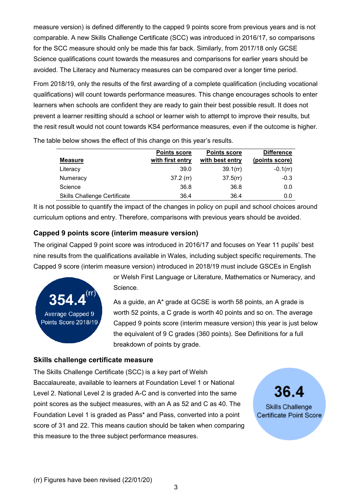measure version) is defined differently to the capped 9 points score from previous years and is not comparable. A new Skills Challenge Certificate (SCC) was introduced in 2016/17, so comparisons for the SCC measure should only be made this far back. Similarly, from 2017/18 only GCSE Science qualifications count towards the measures and comparisons for earlier years should be avoided. The Literacy and Numeracy measures can be compared over a longer time period.

From 2018/19, only the results of the first awarding of a complete qualification (including vocational qualifications) will count towards performance measures. This change encourages schools to enter learners when schools are confident they are ready to gain their best possible result. It does not prevent a learner resitting should a school or learner wish to attempt to improve their results, but the resit result would not count towards KS4 performance measures, even if the outcome is higher.

|                                     | <b>Points score</b> | <b>Points score</b> | <b>Difference</b> |
|-------------------------------------|---------------------|---------------------|-------------------|
| <b>Measure</b>                      | with first entry    | with best entry     | (points score)    |
| Literacy                            | 39.0                | 39.1(r)             | $-0.1$ (rr)       |
| Numeracy                            | $37.2$ (rr)         | $37.5$ (rr)         | $-0.3$            |
| Science                             | 36.8                | 36.8                | 0.0               |
| <b>Skills Challenge Certificate</b> | 36.4                | 36.4                | 0.0               |

The table below shows the effect of this change on this year's results.

It is not possible to quantify the impact of the changes in policy on pupil and school choices around curriculum options and entry. Therefore, comparisons with previous years should be avoided.

#### **Capped 9 points score (interim measure version)**

The original Capped 9 point score was introduced in 2016/17 and focuses on Year 11 pupils' best nine results from the qualifications available in Wales, including subject specific requirements. The Capped 9 score (interim measure version) introduced in 2018/19 must include GSCEs in English



or Welsh First Language or Literature, Mathematics or Numeracy, and Science.

As a guide, an A\* grade at GCSE is worth 58 points, an A grade is worth 52 points, a C grade is worth 40 points and so on. The average Capped 9 points score (interim measure version) this year is just below the equivalent of 9 C grades (360 points). See Definitions for a full breakdown of points by grade.

#### **Skills challenge certificate measure**

The Skills Challenge Certificate (SCC) is a key part of Welsh Baccalaureate, available to learners at Foundation Level 1 or National Level 2. National Level 2 is graded A-C and is converted into the same point scores as the subject measures, with an A as 52 and C as 40. The Foundation Level 1 is graded as Pass\* and Pass, converted into a point score of 31 and 22. This means caution should be taken when comparing this measure to the three subject performance measures.

**Skills Challenge** 

Certificate Point Score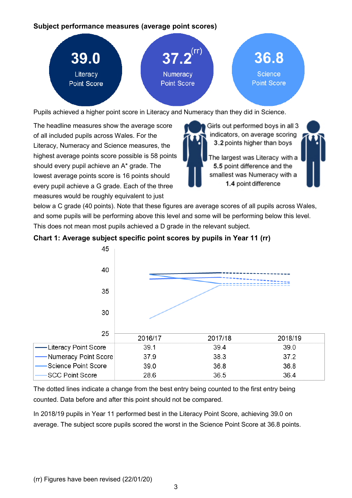#### **Subject performance measures (average point scores)**



Pupils achieved a higher point score in Literacy and Numeracy than they did in Science.

The headline measures show the average score of all included pupils across Wales. For the Literacy, Numeracy and Science measures, the highest average points score possible is 58 points should every pupil achieve an A\* grade. The lowest average points score is 16 points should every pupil achieve a G grade. Each of the three measures would be roughly equivalent to just

Girls out performed boys in all 3 indicators, on average scoring 3.2 points higher than boys

The largest was Literacy with a 5.5 point difference and the smallest was Numeracy with a 1.4 point difference



below a C grade (40 points). Note that these figures are average scores of all pupils across Wales, and some pupils will be performing above this level and some will be performing below this level. This does not mean most pupils achieved a D grade in the relevant subject.





The dotted lines indicate a change from the best entry being counted to the first entry being counted. Data before and after this point should not be compared.

In 2018/19 pupils in Year 11 performed best in the Literacy Point Score, achieving 39.0 on average. The subject score pupils scored the worst in the Science Point Score at 36.8 points.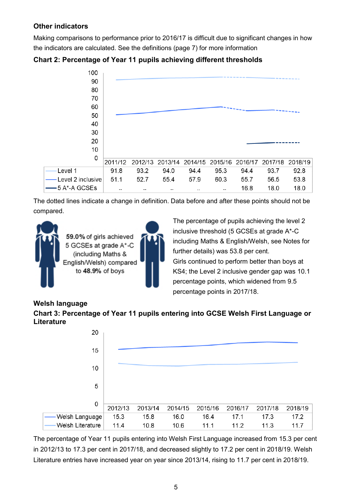## **Other indicators**

Making comparisons to performance prior to 2016/17 is difficult due to significant changes in how the indicators are calculated. See the definitions (page 7) for more information



**Chart 2: Percentage of Year 11 pupils achieving different thresholds**

The dotted lines indicate a change in definition. Data before and after these points should not be compared.

55.4

 $\ddot{\phantom{a}}$ 

57.9

60.3

 $\ddotsc$ 



 $51.1$ 

 $\ddot{\phantom{a}}$ 

52.7

 $\ddot{\phantom{a}}$ 

Level 2 inclusive

5 A\*-A GCSEs

The percentage of pupils achieving the level 2 inclusive threshold (5 GCSEs at grade A\*-C including Maths & English/Welsh, see Notes for further details) was 53.8 per cent. Girls continued to perform better than boys at KS4; the Level 2 inclusive gender gap was 10.1 percentage points, which widened from 9.5 percentage points in 2017/18.

55.7

16.8

56.5

18.0

53.8

18.0

## **Welsh language**

**Chart 3: Percentage of Year 11 pupils entering into GCSE Welsh First Language or Literature**



The percentage of Year 11 pupils entering into Welsh First Language increased from 15.3 per cent in 2012/13 to 17.3 per cent in 2017/18, and decreased slightly to 17.2 per cent in 2018/19. Welsh Literature entries have increased year on year since 2013/14, rising to 11.7 per cent in 2018/19.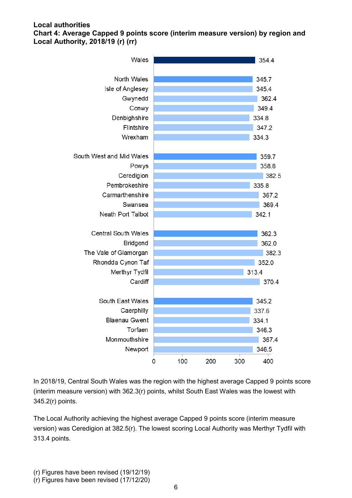#### <span id="page-5-0"></span>**Local authorities Chart 4: Average Capped 9 points score (interim measure version) by region and Local Authority, 2018/19 (r) (rr)**



In 2018/19, Central South Wales was the region with the highest average Capped 9 points score (interim measure version) with 362.3(r) points, whilst South East Wales was the lowest with 345.2(r) points.

The Local Authority achieving the highest average Capped 9 points score (interim measure version) was Ceredigion at 382.5(r). The lowest scoring Local Authority was Merthyr Tydfil with 313.4 points.

(r) Figures have been revised (19/12/19)

<sup>(</sup>r) Figures have been revised (17/12/20)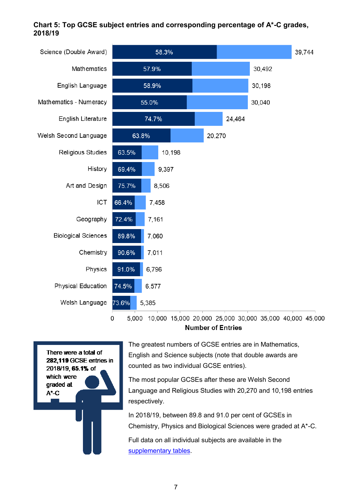#### <span id="page-6-0"></span>**Chart 5: Top GCSE subject entries and corresponding percentage of A\*-C grades, 2018/19**

| Science (Double Award)     | 58.3%          |        |  |        |        | 39,744 |  |
|----------------------------|----------------|--------|--|--------|--------|--------|--|
| Mathematics                | 57.9%          |        |  |        |        | 30,492 |  |
| English Language           |                | 58.9%  |  |        |        | 30,198 |  |
| Mathematics - Numeracy     |                | 55.0%  |  |        |        | 30,040 |  |
| English Literature         |                | 74.7%  |  |        | 24,464 |        |  |
| Welsh Second Language      | 63.8%          |        |  | 20,270 |        |        |  |
| Religious Studies          | 63.5%          | 10,198 |  |        |        |        |  |
| History                    | 69.4%          | 9,397  |  |        |        |        |  |
| Art and Design             | 75.7%          | 8,506  |  |        |        |        |  |
| <b>ICT</b>                 | 66.4%<br>7,458 |        |  |        |        |        |  |
| Geography                  | 72.4%<br>7,161 |        |  |        |        |        |  |
| <b>Biological Sciences</b> | 89.8%<br>7,060 |        |  |        |        |        |  |
| Chemistry                  | 7,011<br>90.6% |        |  |        |        |        |  |
| Physics                    | 91.0%<br>6,796 |        |  |        |        |        |  |
| Physical Education         | 74.5%<br>6,577 |        |  |        |        |        |  |
| Welsh Language             | 73.6%<br>5,385 |        |  |        |        |        |  |
|                            |                |        |  |        |        |        |  |

0 5,000 10,000 15,000 20,000 25,000 30,000 35,000 40,000 45,000 **Number of Entries** 

There were a total of 282,119 GCSE entries in 2018/19, 65.1% of which were graded at  $A^*$ -C

The greatest numbers of GCSE entries are in Mathematics, English and Science subjects (note that double awards are counted as two individual GCSE entries).

The most popular GCSEs after these are Welsh Second Language and Religious Studies with 20,270 and 10,198 entries respectively.

In 2018/19, between 89.8 and 91.0 per cent of GCSEs in Chemistry, Physics and Biological Sciences were graded at A\*-C.

Full data on all individual subjects are available in the [supplementary tables.](https://gov.wales/examination-results-september-2018-august-2019)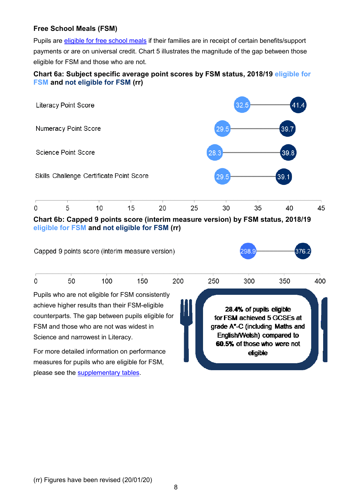#### <span id="page-7-0"></span>**Free School Meals (FSM)**

Pupils are [eligible for free school meals](https://gov.wales/free-school-meals-frequently-asked-questions) if their families are in receipt of certain benefits/support payments or are on universal credit. Chart 5 illustrates the magnitude of the gap between those eligible for FSM and those who are not.

#### **Chart 6a: Subject specific average point scores by FSM status, 2018/19 eligible for FSM and not eligible for FSM (rr)**



**eligible for FSM and not eligible for FSM (rr)**



please see the [supplementary tables.](https://gov.wales/examination-results-september-2018-august-2019)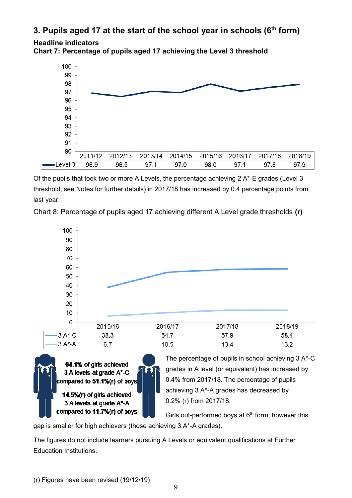# <span id="page-8-0"></span>**3. Pupils aged 17 at the start of the school year in schools (6 th form)**

**Headline indicators**

**Chart 7: Percentage of pupils aged 17 achieving the Level 3 threshold**



Of the pupils that took two or more A Levels, the percentage achieving 2 A\*-E grades (Level 3 threshold, see Notes for further details) in 2017/18 has increased by 0.4 percentage points from last year.

Chart 8: Percentage of pupils aged 17 achieving different A Level grade thresholds **(r)**



64.1% of girls achieved 3 A levels at grade A\*-C compared to 51.1%(r) of boys 14.5% (r) of girls achieved

3 A levels at grade A\*-A compared to 11.7% (r) of boys The percentage of pupils in school achieving 3 A\*-C grades in A level (or equivalent) has increased by 0.4% from 2017/18. The percentage of pupils achieving 3 A\*-A grades has decreased by 0.2% (r) from 2017/18.

Girls out-performed boys at  $6<sup>th</sup>$  form; however this

gap is smaller for high achievers (those achieving 3 A\*-A grades).

The figures do not include learners pursuing A Levels or equivalent qualifications at Further Education Institutions.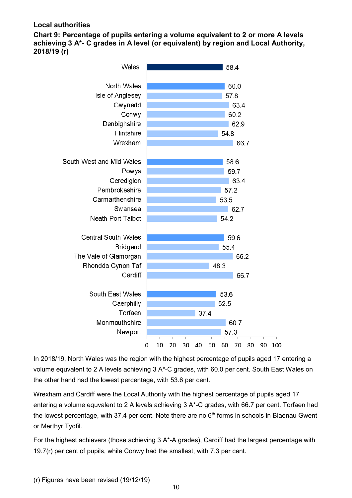#### <span id="page-9-0"></span>**Local authorities**

**Chart 9: Percentage of pupils entering a volume equivalent to 2 or more A levels achieving 3 A\*- C grades in A level (or equivalent) by region and Local Authority, 2018/19 (r)**



In 2018/19, North Wales was the region with the highest percentage of pupils aged 17 entering a volume equvalent to 2 A levels achieving 3 A\*-C grades, with 60.0 per cent. South East Wales on the other hand had the lowest percentage, with 53.6 per cent.

Wrexham and Cardiff were the Local Authority with the highest percentage of pupils aged 17 entering a volume equvalent to 2 A levels achieving 3 A\*-C grades, with 66.7 per cent. Torfaen had the lowest percentage, with 37.4 per cent. Note there are no  $6<sup>th</sup>$  forms in schools in Blaenau Gwent or Merthyr Tydfil.

For the highest achievers (those achieving 3 A\*-A grades), Cardiff had the largest percentage with 19.7(r) per cent of pupils, while Conwy had the smallest, with 7.3 per cent.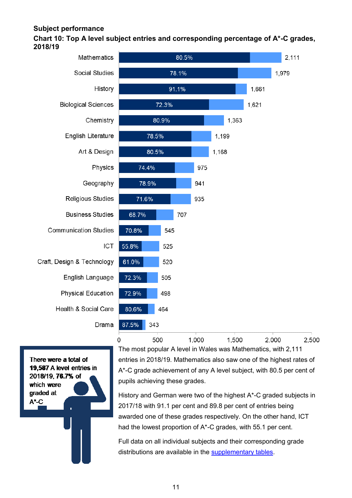#### <span id="page-10-0"></span>**Subject performance**

#### **Chart 10: Top A level subject entries and corresponding percentage of A\*-C grades, 2018/19**



**Communication Studies** Craft, Design & Technology Health & Social Care

There were a total of 19.587 A level entries in 2018/19, 76.7% of which were graded at  $A^*$ -C

The most popular A level in Wales was Mathematics, with 2,111 entries in 2018/19. Mathematics also saw one of the highest rates of A\*-C grade achievement of any A level subject, with 80.5 per cent of pupils achieving these grades.

History and German were two of the highest A\*-C graded subjects in 2017/18 with 91.1 per cent and 89.8 per cent of entries being awarded one of these grades respectively. On the other hand, ICT had the lowest proportion of A\*-C grades, with 55.1 per cent.

Full data on all individual subjects and their corresponding grade distributions are available in the [supplementary tables.](https://gov.wales/examination-results-september-2018-august-2019)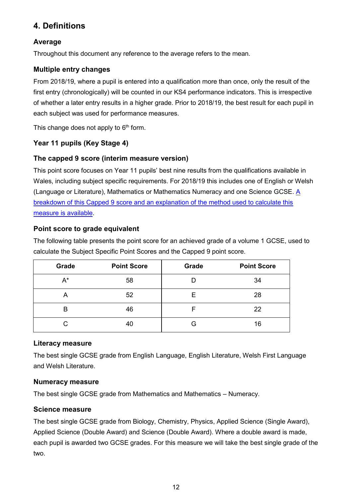# <span id="page-11-0"></span>**4. Definitions**

#### **Average**

Throughout this document any reference to the average refers to the mean.

#### **Multiple entry changes**

From 2018/19, where a pupil is entered into a qualification more than once, only the result of the first entry (chronologically) will be counted in our KS4 performance indicators. This is irrespective of whether a later entry results in a higher grade. Prior to 2018/19, the best result for each pupil in each subject was used for performance measures.

This change does not apply to  $6<sup>th</sup>$  form.

## **Year 11 pupils (Key Stage 4)**

#### **The capped 9 score (interim measure version)**

This point score focuses on Year 11 pupils' best nine results from the qualifications available in Wales, including subject specific requirements. For 2018/19 this includes one of English or Welsh (Language or Literature), Mathematics or Mathematics Numeracy and one Science GCSE. [A](https://gov.wales/capped-9-points-score-interim)  [breakdown of this Capped 9 score and an explanation of the method used to calculate this](https://gov.wales/capped-9-points-score-interim)  [measure is available.](https://gov.wales/capped-9-points-score-interim)

#### **Point score to grade equivalent**

The following table presents the point score for an achieved grade of a volume 1 GCSE, used to calculate the Subject Specific Point Scores and the Capped 9 point score.

| Grade | <b>Point Score</b> | Grade | <b>Point Score</b> |
|-------|--------------------|-------|--------------------|
| A*    | 58                 |       | 34                 |
| А     | 52                 | E     | 28                 |
| В     | 46                 | F     | 22                 |
| C     | 40                 | G     | 16                 |

#### **Literacy measure**

The best single GCSE grade from English Language, English Literature, Welsh First Language and Welsh Literature.

#### **Numeracy measure**

The best single GCSE grade from Mathematics and Mathematics – Numeracy.

#### **Science measure**

The best single GCSE grade from Biology, Chemistry, Physics, Applied Science (Single Award), Applied Science (Double Award) and Science (Double Award). Where a double award is made, each pupil is awarded two GCSE grades. For this measure we will take the best single grade of the two.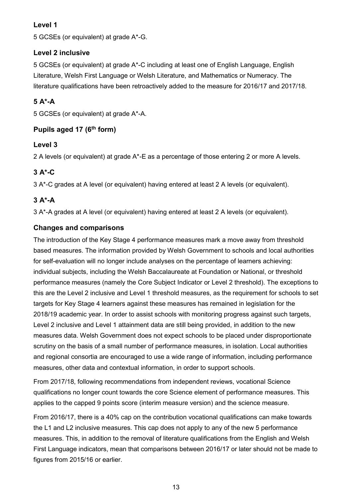## **Level 1**

5 GCSEs (or equivalent) at grade A\*-G.

## **Level 2 inclusive**

5 GCSEs (or equivalent) at grade A\*-C including at least one of English Language, English Literature, Welsh First Language or Welsh Literature, and Mathematics or Numeracy. The literature qualifications have been retroactively added to the measure for 2016/17 and 2017/18.

# **5 A\*-A**

5 GCSEs (or equivalent) at grade A\*-A.

## **Pupils aged 17 (6 th form)**

## **Level 3**

2 A levels (or equivalent) at grade A\*-E as a percentage of those entering 2 or more A levels.

## **3 A\*-C**

3 A\*-C grades at A level (or equivalent) having entered at least 2 A levels (or equivalent).

# **3 A\*-A**

3 A\*-A grades at A level (or equivalent) having entered at least 2 A levels (or equivalent).

## **Changes and comparisons**

The introduction of the Key Stage 4 performance measures mark a move away from threshold based measures. The information provided by Welsh Government to schools and local authorities for self-evaluation will no longer include analyses on the percentage of learners achieving: individual subjects, including the Welsh Baccalaureate at Foundation or National, or threshold performance measures (namely the Core Subject Indicator or Level 2 threshold). The exceptions to this are the Level 2 inclusive and Level 1 threshold measures, as the requirement for schools to set targets for Key Stage 4 learners against these measures has remained in legislation for the 2018/19 academic year. In order to assist schools with monitoring progress against such targets, Level 2 inclusive and Level 1 attainment data are still being provided, in addition to the new measures data. Welsh Government does not expect schools to be placed under disproportionate scrutiny on the basis of a small number of performance measures, in isolation. Local authorities and regional consortia are encouraged to use a wide range of information, including performance measures, other data and contextual information, in order to support schools.

From 2017/18, following recommendations from independent reviews, vocational Science qualifications no longer count towards the core Science element of performance measures. This applies to the capped 9 points score (interim measure version) and the science measure.

From 2016/17, there is a 40% cap on the contribution vocational qualifications can make towards the L1 and L2 inclusive measures. This cap does not apply to any of the new 5 performance measures. This, in addition to the removal of literature qualifications from the English and Welsh First Language indicators, mean that comparisons between 2016/17 or later should not be made to figures from 2015/16 or earlier.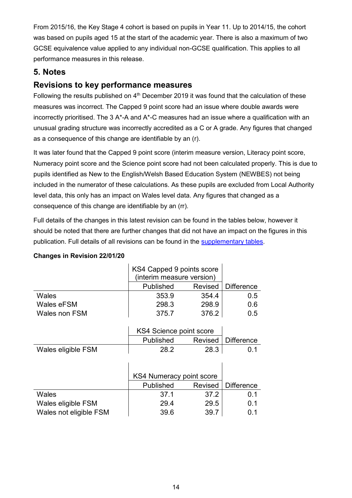From 2015/16, the Key Stage 4 cohort is based on pupils in Year 11. Up to 2014/15, the cohort was based on pupils aged 15 at the start of the academic year. There is also a maximum of two GCSE equivalence value applied to any individual non-GCSE qualification. This applies to all performance measures in this release.

# <span id="page-13-0"></span>**5. Notes**

# **Revisions to key performance measures**

Following the results published on 4<sup>th</sup> December 2019 it was found that the calculation of these measures was incorrect. The Capped 9 point score had an issue where double awards were incorrectly prioritised. The 3 A\*-A and A\*-C measures had an issue where a qualification with an unusual grading structure was incorrectly accredited as a C or A grade. Any figures that changed as a consequence of this change are identifiable by an (r).

It was later found that the Capped 9 point score (interim measure version, Literacy point score, Numeracy point score and the Science point score had not been calculated properly. This is due to pupils identified as New to the English/Welsh Based Education System (NEWBES) not being included in the numerator of these calculations. As these pupils are excluded from Local Authority level data, this only has an impact on Wales level data. Any figures that changed as a consequence of this change are identifiable by an (rr).

Full details of the changes in this latest revision can be found in the tables below, however it should be noted that there are further changes that did not have an impact on the figures in this publication. Full details of all revisions can be found in the [supplementary tables.](https://gov.wales/examination-results-september-2018-august-2019)

|               | KS4 Capped 9 points score<br>(interim measure version) |         |                   |
|---------------|--------------------------------------------------------|---------|-------------------|
|               | Published                                              | Revised | <b>Difference</b> |
| Wales         | 353.9                                                  | 354.4   | 0.5               |
| Wales eFSM    | 298.3                                                  | 298.9   | 0.6               |
| Wales non FSM | 375.7                                                  | 376.2   | 0.5               |

#### **Changes in Revision 22/01/20**

|                    | KS4 Science point score |      |                      |
|--------------------|-------------------------|------|----------------------|
|                    | Published               |      | Revised   Difference |
| Wales eligible FSM | 28.2                    | 28.3 | (1.1)                |

|                        | KS4 Numeracy point score |         |                   |
|------------------------|--------------------------|---------|-------------------|
|                        | Published                | Revised | <b>Difference</b> |
| Wales                  | 37.1                     | 37.2    | 0.1               |
| Wales eligible FSM     | 29.4                     | 29.5    | 0.1               |
| Wales not eligible FSM | 39.6                     | 39.7    | ი 1               |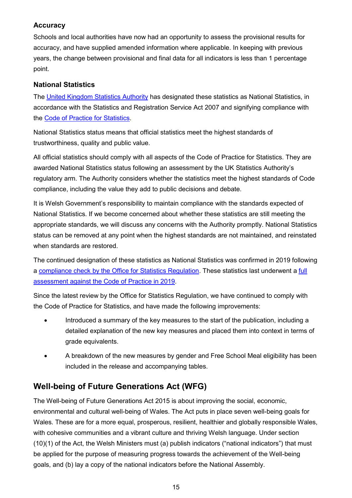#### **Accuracy**

Schools and local authorities have now had an opportunity to assess the provisional results for accuracy, and have supplied amended information where applicable. In keeping with previous years, the change between provisional and final data for all indicators is less than 1 percentage point.

## **National Statistics**

The [United Kingdom Statistics Authority](https://www.statisticsauthority.gov.uk/) has designated these statistics as National Statistics, in accordance with the Statistics and Registration Service Act 2007 and signifying compliance with the [Code of Practice for Statistics.](https://www.statisticsauthority.gov.uk/code-of-practice/)

National Statistics status means that official statistics meet the highest standards of trustworthiness, quality and public value.

All official statistics should comply with all aspects of the Code of Practice for Statistics. They are awarded National Statistics status following an assessment by the UK Statistics Authority's regulatory arm. The Authority considers whether the statistics meet the highest standards of Code compliance, including the value they add to public decisions and debate.

It is Welsh Government's responsibility to maintain compliance with the standards expected of National Statistics. If we become concerned about whether these statistics are still meeting the appropriate standards, we will discuss any concerns with the Authority promptly. National Statistics status can be removed at any point when the highest standards are not maintained, and reinstated when standards are restored.

The continued designation of these statistics as National Statistics was confirmed in 2019 following a [compliance check by the Office for Statistics Regulation.](https://www.statisticsauthority.gov.uk/correspondence/compliance-check-of-wales-examination-results-statistics/) These statistics last underwent a [full](https://www.statisticsauthority.gov.uk/correspondence/compliance-check-of-wales-examination-results-statistics/)  [assessment against the Code of Practice in 2019.](https://www.statisticsauthority.gov.uk/correspondence/compliance-check-of-wales-examination-results-statistics/)

Since the latest review by the Office for Statistics Regulation, we have continued to comply with the Code of Practice for Statistics, and have made the following improvements:

- Introduced a summary of the key measures to the start of the publication, including a detailed explanation of the new key measures and placed them into context in terms of grade equivalents.
- A breakdown of the new measures by gender and Free School Meal eligibility has been included in the release and accompanying tables.

# **Well-being of Future Generations Act (WFG)**

The Well-being of Future Generations Act 2015 is about improving the social, economic, environmental and cultural well-being of Wales. The Act puts in place seven well-being goals for Wales. These are for a more equal, prosperous, resilient, healthier and globally responsible Wales, with cohesive communities and a vibrant culture and thriving Welsh language. Under section (10)(1) of the Act, the Welsh Ministers must (a) publish indicators ("national indicators") that must be applied for the purpose of measuring progress towards the achievement of the Well-being goals, and (b) lay a copy of the national indicators before the National Assembly.